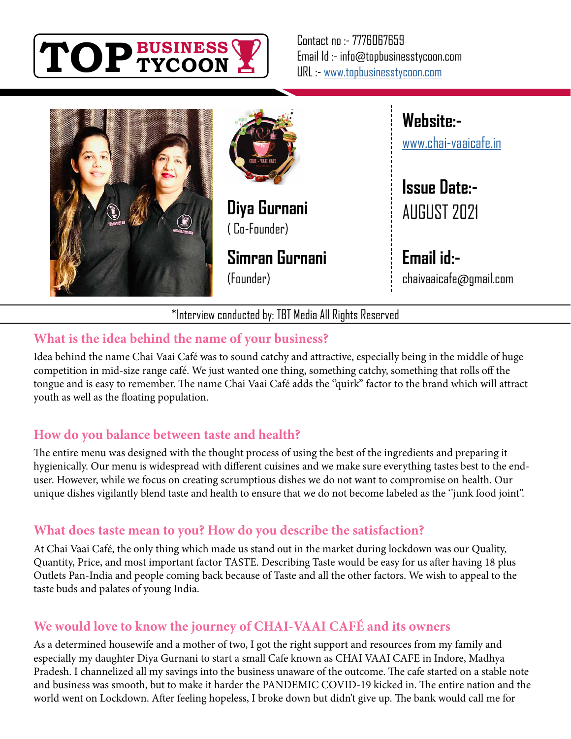

Contact no :- 7776067659 Email Id :- info@topbusinesstycoon.com URL :- [www.topbusinesstycoon.com](https://www.topbusinesstycoon.com/)





**Diya Gurnani** ( Co-Founder)

**Simran Gurnani** (Founder)

**Website:** [www.chai-vaaicafe.in](http://www.chai-vaaicafe.in)

**Issue Date:-** AUGUST 2021

**Email id:** chaivaaicafe@gmail.com

\*Interview conducted by: TBT Media All Rights Reserved

# **What is the idea behind the name of your business?**

Idea behind the name Chai Vaai Café was to sound catchy and attractive, especially being in the middle of huge competition in mid-size range café. We just wanted one thing, something catchy, something that rolls off the tongue and is easy to remember. The name Chai Vaai Café adds the "quirk" factor to the brand which will attract youth as well as the floating population.

# **How do you balance between taste and health?**

The entire menu was designed with the thought process of using the best of the ingredients and preparing it hygienically. Our menu is widespread with different cuisines and we make sure everything tastes best to the enduser. However, while we focus on creating scrumptious dishes we do not want to compromise on health. Our unique dishes vigilantly blend taste and health to ensure that we do not become labeled as the ''junk food joint''.

# **What does taste mean to you? How do you describe the satisfaction?**

At Chai Vaai Café, the only thing which made us stand out in the market during lockdown was our Quality, Quantity, Price, and most important factor TASTE. Describing Taste would be easy for us after having 18 plus Outlets Pan-India and people coming back because of Taste and all the other factors. We wish to appeal to the taste buds and palates of young India.

# **We would love to know the journey of CHAI-VAAI CAFÉ and its owners**

As a determined housewife and a mother of two, I got the right support and resources from my family and especially my daughter Diya Gurnani to start a small Cafe known as CHAI VAAI CAFE in Indore, Madhya Pradesh. I channelized all my savings into the business unaware of the outcome. The cafe started on a stable note and business was smooth, but to make it harder the PANDEMIC COVID-19 kicked in. The entire nation and the world went on Lockdown. After feeling hopeless, I broke down but didn't give up. The bank would call me for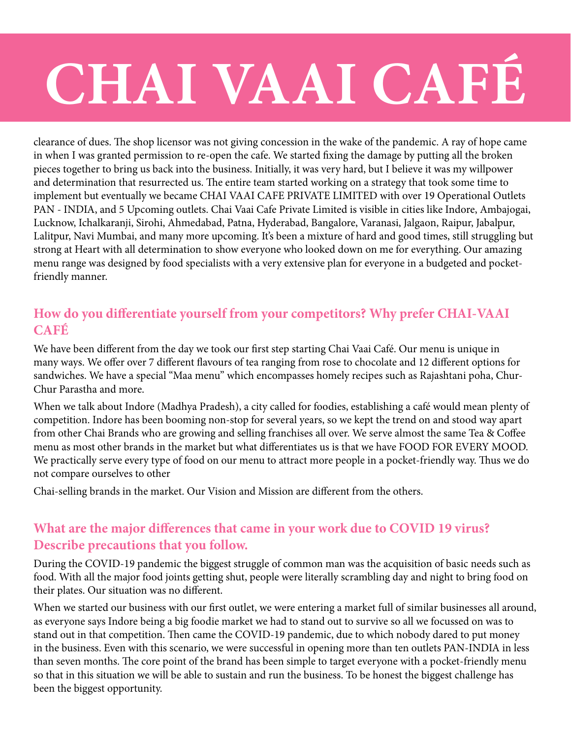# **CHAI VAAI CAFÉ**

clearance of dues. The shop licensor was not giving concession in the wake of the pandemic. A ray of hope came in when I was granted permission to re-open the cafe. We started fixing the damage by putting all the broken pieces together to bring us back into the business. Initially, it was very hard, but I believe it was my willpower and determination that resurrected us. The entire team started working on a strategy that took some time to implement but eventually we became CHAI VAAI CAFE PRIVATE LIMITED with over 19 Operational Outlets PAN - INDIA, and 5 Upcoming outlets. Chai Vaai Cafe Private Limited is visible in cities like Indore, Ambajogai, Lucknow, Ichalkaranji, Sirohi, Ahmedabad, Patna, Hyderabad, Bangalore, Varanasi, Jalgaon, Raipur, Jabalpur, Lalitpur, Navi Mumbai, and many more upcoming. It's been a mixture of hard and good times, still struggling but strong at Heart with all determination to show everyone who looked down on me for everything. Our amazing menu range was designed by food specialists with a very extensive plan for everyone in a budgeted and pocketfriendly manner.

#### **How do you differentiate yourself from your competitors? Why prefer CHAI-VAAI CAFÉ**

We have been different from the day we took our first step starting Chai Vaai Café. Our menu is unique in many ways. We offer over 7 different flavours of tea ranging from rose to chocolate and 12 different options for sandwiches. We have a special "Maa menu'' which encompasses homely recipes such as Rajashtani poha, Chur-Chur Parastha and more.

When we talk about Indore (Madhya Pradesh), a city called for foodies, establishing a café would mean plenty of competition. Indore has been booming non-stop for several years, so we kept the trend on and stood way apart from other Chai Brands who are growing and selling franchises all over. We serve almost the same Tea & Coffee menu as most other brands in the market but what differentiates us is that we have FOOD FOR EVERY MOOD. We practically serve every type of food on our menu to attract more people in a pocket-friendly way. Thus we do not compare ourselves to other

Chai-selling brands in the market. Our Vision and Mission are different from the others.

#### **What are the major differences that came in your work due to COVID 19 virus? Describe precautions that you follow.**

During the COVID-19 pandemic the biggest struggle of common man was the acquisition of basic needs such as food. With all the major food joints getting shut, people were literally scrambling day and night to bring food on their plates. Our situation was no different.

When we started our business with our first outlet, we were entering a market full of similar businesses all around, as everyone says Indore being a big foodie market we had to stand out to survive so all we focussed on was to stand out in that competition. Then came the COVID-19 pandemic, due to which nobody dared to put money in the business. Even with this scenario, we were successful in opening more than ten outlets PAN-INDIA in less than seven months. The core point of the brand has been simple to target everyone with a pocket-friendly menu so that in this situation we will be able to sustain and run the business. To be honest the biggest challenge has been the biggest opportunity.